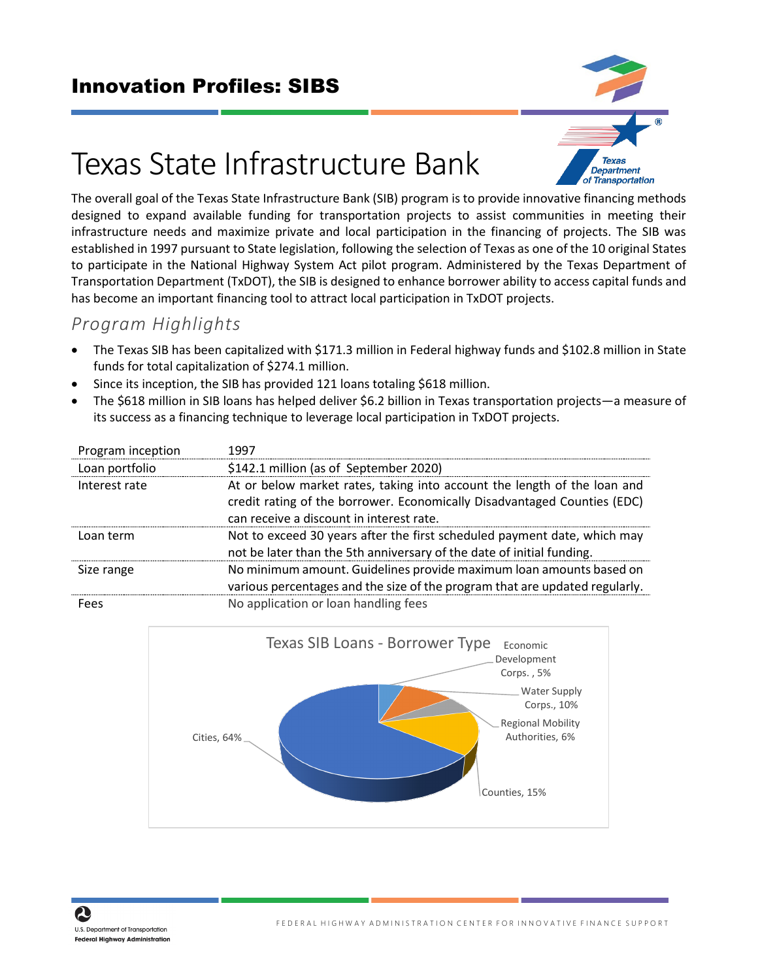### Innovation Profiles: SIBS



# Texas State Infrastructure Bank

The overall goal of the Texas State Infrastructure Bank (SIB) program is to provide innovative financing methods designed to expand available funding for transportation projects to assist communities in meeting their infrastructure needs and maximize private and local participation in the financing of projects. The SIB was established in 1997 pursuant to State legislation, following the selection of Texas as one of the 10 original States to participate in the National Highway System Act pilot program. Administered by the Texas Department of Transportation Department (TxDOT), the SIB is designed to enhance borrower ability to access capital funds and has become an important financing tool to attract local participation in TxDOT projects.

#### *Program Highlights*

- The Texas SIB has been capitalized with \$171.3 million in Federal highway funds and \$102.8 million in State funds for total capitalization of \$274.1 million.
- Since its inception, the SIB has provided 121 loans totaling \$618 million.
- The \$618 million in SIB loans has helped deliver \$6.2 billion in Texas transportation projects―a measure of its success as a financing technique to leverage local participation in TxDOT projects.

| Program inception | 1997                                                                                                                                                                                             |
|-------------------|--------------------------------------------------------------------------------------------------------------------------------------------------------------------------------------------------|
| Loan portfolio    | \$142.1 million (as of September 2020)                                                                                                                                                           |
| Interest rate     | At or below market rates, taking into account the length of the loan and<br>credit rating of the borrower. Economically Disadvantaged Counties (EDC)<br>can receive a discount in interest rate. |
| Loan term         | Not to exceed 30 years after the first scheduled payment date, which may<br>not be later than the 5th anniversary of the date of initial funding.                                                |
| Size range        | No minimum amount. Guidelines provide maximum loan amounts based on<br>various percentages and the size of the program that are updated regularly.                                               |
| Fees              | No application or loan handling fees                                                                                                                                                             |